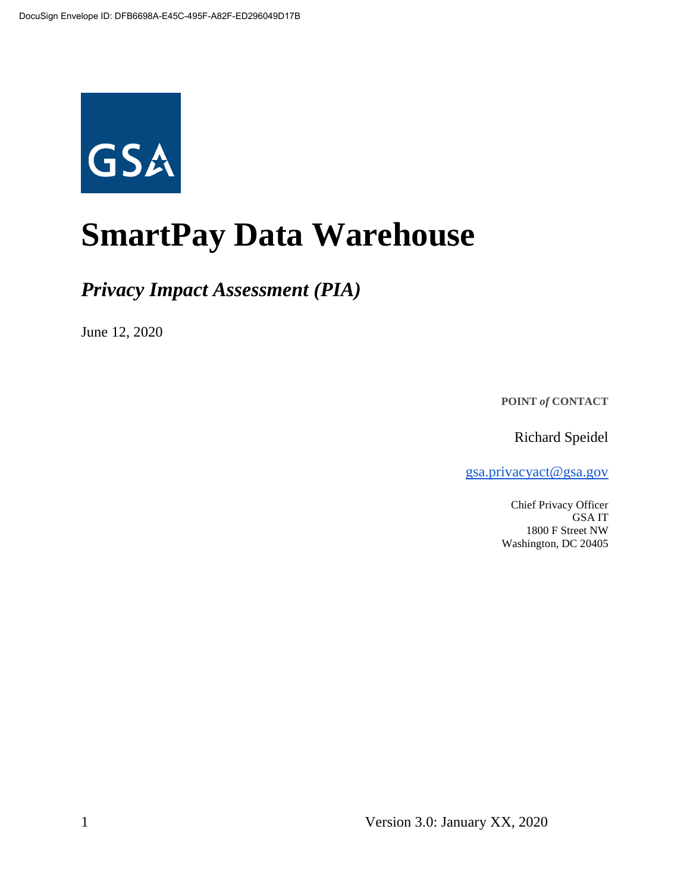

# **SmartPay Data Warehouse**

# *Privacy Impact Assessment (PIA)*

June 12, 2020

**POINT** *of* **CONTACT**

Richard Speidel

[gsa.privacyact@gsa.gov](mailto:gsa.privacyact@gsa.gov)

Chief Privacy Officer GSA IT 1800 F Street NW Washington, DC 20405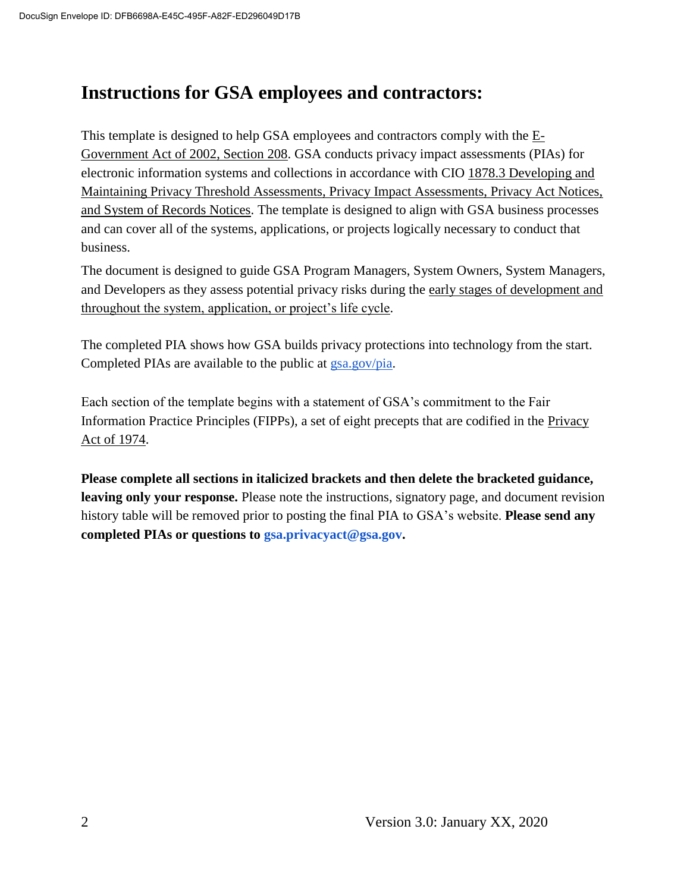# **Instructions for GSA employees and contractors:**

This t[e](https://www.justice.gov/opcl/e-government-act-2002)mplate is designed to help GSA employees and contractors comply with the  $E$ -[Government Act of 2002, Section 208.](https://www.justice.gov/opcl/e-government-act-2002) GSA conducts privacy impact assessments (PIAs) for electronic information systems and collections in accordance with [CIO 1878.3 Developing and](https://insite.gsa.gov/directives-library/developing-and-maintaining-privacy-threshold-assessments-privacy-impact-assessments-privacy-act-notices-and-system-of-records-notices-18783-cio)  [Maintaining Privacy Threshold Assessments, Privacy Impact Assessments, Privacy Act Notices,](https://insite.gsa.gov/directives-library/developing-and-maintaining-privacy-threshold-assessments-privacy-impact-assessments-privacy-act-notices-and-system-of-records-notices-18783-cio)  [and System of Records Notices.](https://insite.gsa.gov/directives-library/developing-and-maintaining-privacy-threshold-assessments-privacy-impact-assessments-privacy-act-notices-and-system-of-records-notices-18783-cio) The template is designed to align with GSA business processes and can cover all of the systems, applications, or projects logically necessary to conduct that business.

The document is designed to guide GSA Program Managers, System Owners, System Managers, and Developers as they assess potential privacy risks during th[e](https://insite.gsa.gov/cdnstatic/insite/Managing_Enterprise_Risk_%5BCIO_IT_Security_06-30_Rev_14%5D_02-01-2019.pdf) [early stages of development and](https://insite.gsa.gov/cdnstatic/insite/Managing_Enterprise_Risk_%5BCIO_IT_Security_06-30_Rev_14%5D_02-01-2019.pdf)  [throughout the system, application, or project's life cycle.](https://insite.gsa.gov/cdnstatic/insite/Managing_Enterprise_Risk_%5BCIO_IT_Security_06-30_Rev_14%5D_02-01-2019.pdf)

The completed PIA shows how GSA builds privacy protections into technology from the start. Completed PIAs are available to the public at [gsa.gov/pia.](https://www.gsa.gov/reference/gsa-privacy-program/privacy-impact-assessments-pia)

Each section of the template begins with a statement of GSA's commitment to the Fair Information Practice Principles (FIPPs), a set of eight precepts that are codified in the [Privacy](https://www.justice.gov/opcl/policy-objectives)  [Act of 1974.](https://www.justice.gov/opcl/policy-objectives)

**Please complete all sections in italicized brackets and then delete the bracketed guidance, leaving only your response.** Please note the instructions, signatory page, and document revision history table will be removed prior to posting the final PIA to GSA's website. **Please send any completed PIAs or questions to gsa.privacyact@gsa.gov.**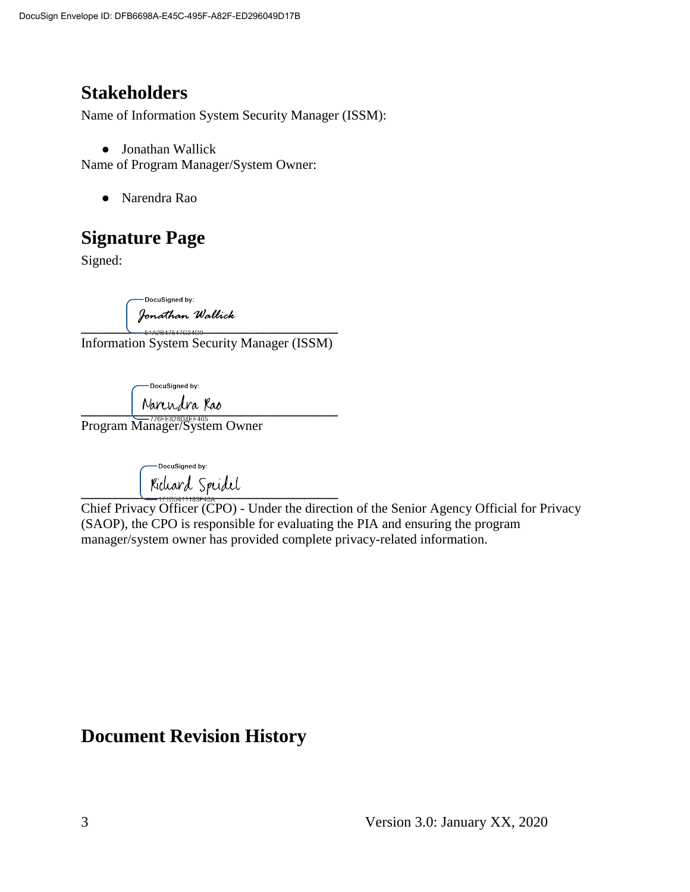# **Stakeholders**

Name of Information System Security Manager (ISSM):

● Jonathan Wallick

Name of Program Manager/System Owner:

● Narendra Rao

# **Signature Page**

Signed:

-DocuSigned by: Jonathan Wallick

**\_\_\_\_\_\_\_\_\_\_\_\_\_\_\_\_\_\_\_\_\_\_\_\_\_\_\_\_\_\_\_\_\_\_\_\_\_\_** Information System Security Manager (ISSM)

-DocuSianed by:

 $\blacksquare$   $\blacksquare$   $\blacksquare$   $\blacksquare$   $\blacksquare$   $\blacksquare$   $\blacksquare$   $\blacksquare$ 

Program Manager/System Owner

-DocuSigned by:  $\frac{1305411107500}{17105411107500}$ 

Chief Privacy Officer (CPO) - Under the direction of the Senior Agency Official for Privacy (SAOP), the CPO is responsible for evaluating the PIA and ensuring the program manager/system owner has provided complete privacy-related information.

# **Document Revision History**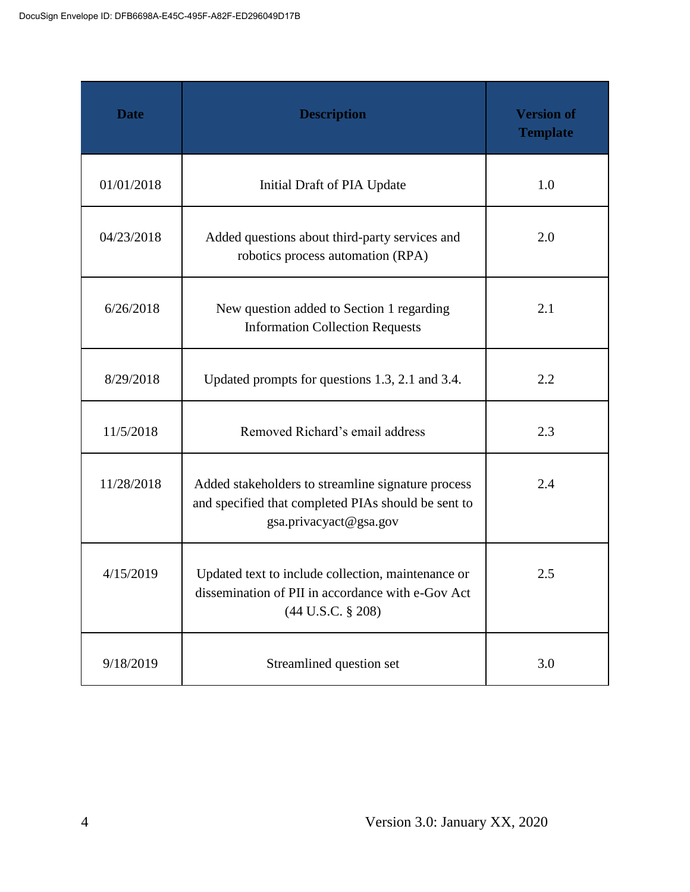| <b>Date</b> | <b>Description</b>                                                                                                                  | <b>Version of</b><br><b>Template</b> |
|-------------|-------------------------------------------------------------------------------------------------------------------------------------|--------------------------------------|
| 01/01/2018  | Initial Draft of PIA Update                                                                                                         | 1.0                                  |
| 04/23/2018  | Added questions about third-party services and<br>robotics process automation (RPA)                                                 | 2.0                                  |
| 6/26/2018   | New question added to Section 1 regarding<br><b>Information Collection Requests</b>                                                 | 2.1                                  |
| 8/29/2018   | Updated prompts for questions 1.3, 2.1 and 3.4.                                                                                     | 2.2                                  |
| 11/5/2018   | Removed Richard's email address                                                                                                     | 2.3                                  |
| 11/28/2018  | Added stakeholders to streamline signature process<br>and specified that completed PIAs should be sent to<br>gsa.privacyact@gsa.gov |                                      |
| 4/15/2019   | Updated text to include collection, maintenance or<br>dissemination of PII in accordance with e-Gov Act<br>$(44$ U.S.C. § 208)      | 2.5                                  |
| 9/18/2019   | Streamlined question set                                                                                                            | 3.0                                  |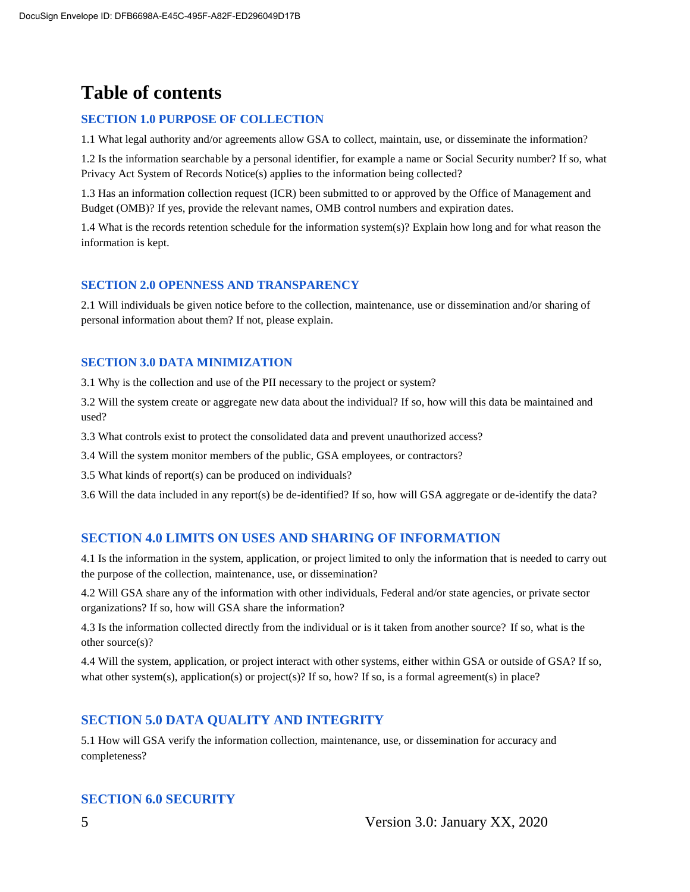# **Table of contents**

#### **SECTION 1.0 PURPOSE OF COLLECTION**

1.1 What legal authority and/or agreements allow GSA to collect, maintain, use, or disseminate the information?

1.2 Is the information searchable by a personal identifier, for example a name or Social Security number? If so, what Privacy Act System of Records Notice(s) applies to the information being collected?

1.3 Has an information collection request (ICR) been submitted to or approved by the Office of Management and Budget (OMB)? If yes, provide the relevant names, OMB control numbers and expiration dates.

1.4 What is the records retention schedule for the information system(s)? Explain how long and for what reason the information is kept.

#### **SECTION 2.0 OPENNESS AND TRANSPARENCY**

2.1 Will individuals be given notice before to the collection, maintenance, use or dissemination and/or sharing of personal information about them? If not, please explain.

#### **SECTION 3.0 DATA MINIMIZATION**

3.1 Why is the collection and use of the PII necessary to the project or system?

3.2 Will the system create or aggregate new data about the individual? If so, how will this data be maintained and used?

3.3 What controls exist to protect the consolidated data and prevent unauthorized access?

3.4 Will the system monitor members of the public, GSA employees, or contractors?

3.5 What kinds of report(s) can be produced on individuals?

3.6 Will the data included in any report(s) be de-identified? If so, how will GSA aggregate or de-identify the data?

#### **SECTION 4.0 LIMITS ON USES AND SHARING OF INFORMATION**

4.1 Is the information in the system, application, or project limited to only the information that is needed to carry out the purpose of the collection, maintenance, use, or dissemination?

4.2 Will GSA share any of the information with other individuals, Federal and/or state agencies, or private sector organizations? If so, how will GSA share the information?

4.3 Is the information collected directly from the individual or is it taken from another source? If so, what is the other source(s)?

4.4 Will the system, application, or project interact with other systems, either within GSA or outside of GSA? If so, what other system(s), application(s) or project(s)? If so, how? If so, is a formal agreement(s) in place?

#### **SECTION 5.0 DATA QUALITY AND INTEGRITY**

5.1 How will GSA verify the information collection, maintenance, use, or dissemination for accuracy and completeness?

#### **SECTION 6.0 SECURITY**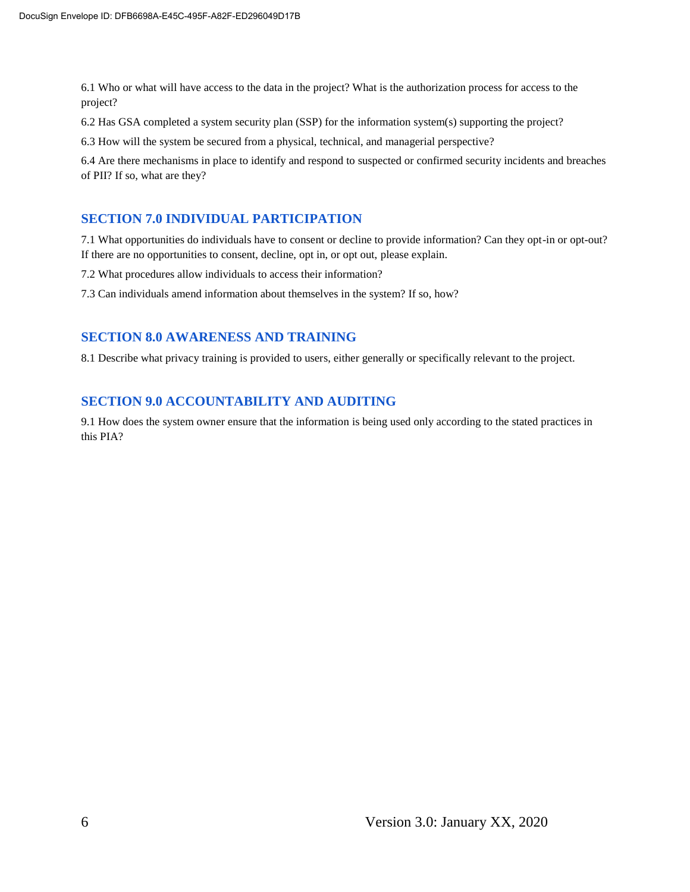6.1 Who or what will have access to the data in the project? What is the authorization process for access to the project?

6.2 Has GSA completed a system security plan (SSP) for the information system(s) supporting the project?

6.3 How will the system be secured from a physical, technical, and managerial perspective?

6.4 Are there mechanisms in place to identify and respond to suspected or confirmed security incidents and breaches of PII? If so, what are they?

#### **SECTION 7.0 INDIVIDUAL PARTICIPATION**

7.1 What opportunities do individuals have to consent or decline to provide information? Can they opt-in or opt-out? If there are no opportunities to consent, decline, opt in, or opt out, please explain.

7.2 What procedures allow individuals to access their information?

7.3 Can individuals amend information about themselves in the system? If so, how?

#### **SECTION 8.0 AWARENESS AND TRAINING**

8.1 Describe what privacy training is provided to users, either generally or specifically relevant to the project.

#### **SECTION 9.0 ACCOUNTABILITY AND AUDITING**

9.1 How does the system owner ensure that the information is being used only according to the stated practices in this PIA?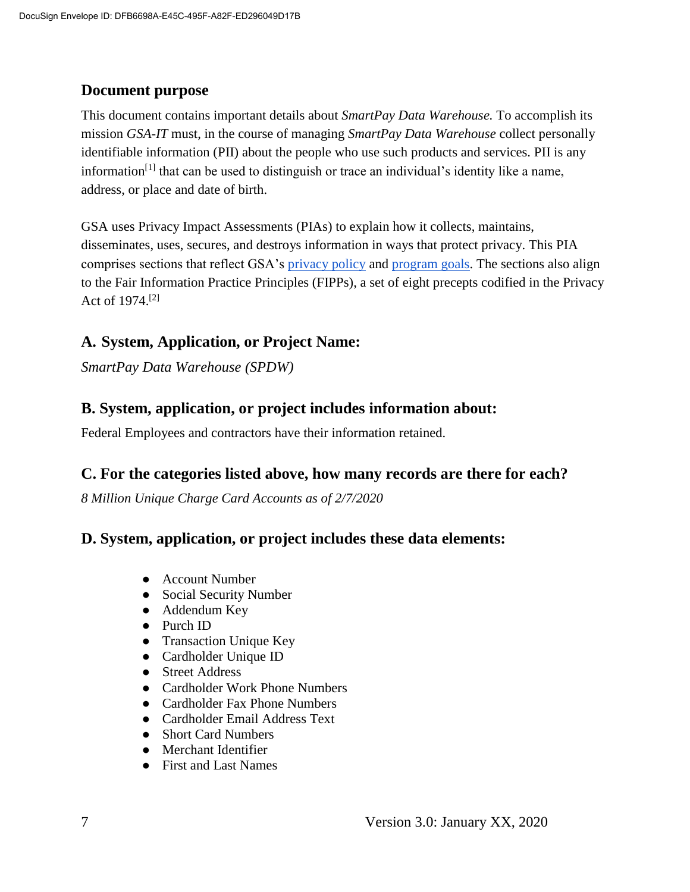#### **Document purpose**

This document contains important details about *SmartPay Data Warehouse.* To accomplish its mission *GSA-IT* must, in the course of managing *SmartPay Data Warehouse* collect personally identifiable information (PII) about the people who use such products and services. PII is any information<sup>[1]</sup> that can be used to distinguish or trace an individual's identity like a name, address, or place and date of birth.

GSA uses Privacy Impact Assessments (PIAs) to explain how it collects, maintains, disseminates, uses, secures, and destroys information in ways that protect privacy. This PIA comprises sections that reflect GSA's [privacy policy](https://www.gsa.gov/website-information/privacy-and-security-notice) and [program goals.](https://www.gsa.gov/portal/category/21419) The sections also align to the Fair Information Practice Principles (FIPPs), a set of eight precepts codified in the Privacy Act of 1974.[2]

#### **A. System, Application, or Project Name:**

*SmartPay Data Warehouse (SPDW)*

#### **B. System, application, or project includes information about:**

Federal Employees and contractors have their information retained.

#### **C. For the categories listed above, how many records are there for each?**

*8 Million Unique Charge Card Accounts as of 2/7/2020*

#### **D. System, application, or project includes these data elements:**

- Account Number
- Social Security Number
- Addendum Key
- Purch ID
- Transaction Unique Key
- Cardholder Unique ID
- Street Address
- Cardholder Work Phone Numbers
- Cardholder Fax Phone Numbers
- Cardholder Email Address Text
- Short Card Numbers
- Merchant Identifier
- First and Last Names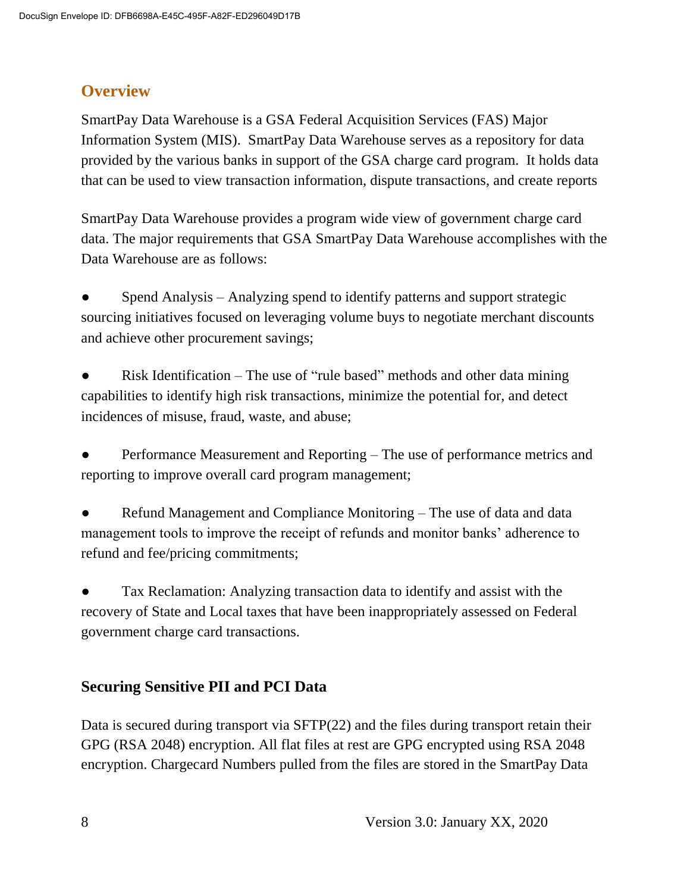## **Overview**

SmartPay Data Warehouse is a GSA Federal Acquisition Services (FAS) Major Information System (MIS). SmartPay Data Warehouse serves as a repository for data provided by the various banks in support of the GSA charge card program. It holds data that can be used to view transaction information, dispute transactions, and create reports

SmartPay Data Warehouse provides a program wide view of government charge card data. The major requirements that GSA SmartPay Data Warehouse accomplishes with the Data Warehouse are as follows:

Spend Analysis – Analyzing spend to identify patterns and support strategic sourcing initiatives focused on leveraging volume buys to negotiate merchant discounts and achieve other procurement savings;

Risk Identification – The use of "rule based" methods and other data mining capabilities to identify high risk transactions, minimize the potential for, and detect incidences of misuse, fraud, waste, and abuse;

Performance Measurement and Reporting – The use of performance metrics and reporting to improve overall card program management;

Refund Management and Compliance Monitoring – The use of data and data management tools to improve the receipt of refunds and monitor banks' adherence to refund and fee/pricing commitments;

Tax Reclamation: Analyzing transaction data to identify and assist with the recovery of State and Local taxes that have been inappropriately assessed on Federal government charge card transactions.

## **Securing Sensitive PII and PCI Data**

Data is secured during transport via SFTP(22) and the files during transport retain their GPG (RSA 2048) encryption. All flat files at rest are GPG encrypted using RSA 2048 encryption. Chargecard Numbers pulled from the files are stored in the SmartPay Data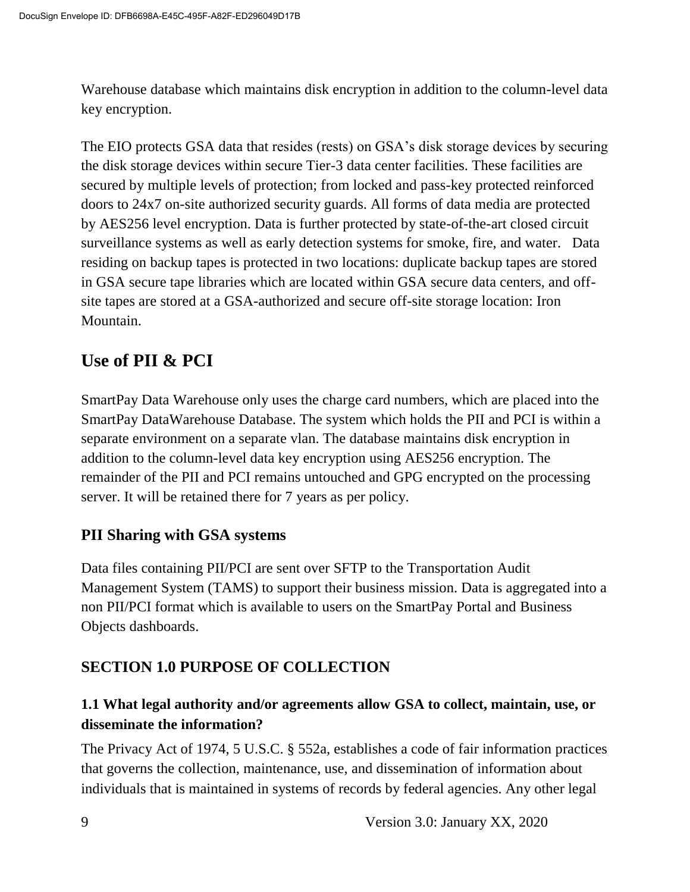Warehouse database which maintains disk encryption in addition to the column-level data key encryption.

The EIO protects GSA data that resides (rests) on GSA's disk storage devices by securing the disk storage devices within secure Tier-3 data center facilities. These facilities are secured by multiple levels of protection; from locked and pass-key protected reinforced doors to 24x7 on-site authorized security guards. All forms of data media are protected by AES256 level encryption. Data is further protected by state-of-the-art closed circuit surveillance systems as well as early detection systems for smoke, fire, and water. Data residing on backup tapes is protected in two locations: duplicate backup tapes are stored in GSA secure tape libraries which are located within GSA secure data centers, and offsite tapes are stored at a GSA-authorized and secure off-site storage location: Iron Mountain.

# **Use of PII & PCI**

SmartPay Data Warehouse only uses the charge card numbers, which are placed into the SmartPay DataWarehouse Database. The system which holds the PII and PCI is within a separate environment on a separate vlan. The database maintains disk encryption in addition to the column-level data key encryption using AES256 encryption. The remainder of the PII and PCI remains untouched and GPG encrypted on the processing server. It will be retained there for 7 years as per policy.

## **PII Sharing with GSA systems**

Data files containing PII/PCI are sent over SFTP to the Transportation Audit Management System (TAMS) to support their business mission. Data is aggregated into a non PII/PCI format which is available to users on the SmartPay Portal and Business Objects dashboards.

## **SECTION 1.0 PURPOSE OF COLLECTION**

#### **1.1 What legal authority and/or agreements allow GSA to collect, maintain, use, or disseminate the information?**

The Privacy Act of 1974, 5 U.S.C. § 552a, establishes a code of fair information practices that governs the collection, maintenance, use, and dissemination of information about individuals that is maintained in systems of records by federal agencies. Any other legal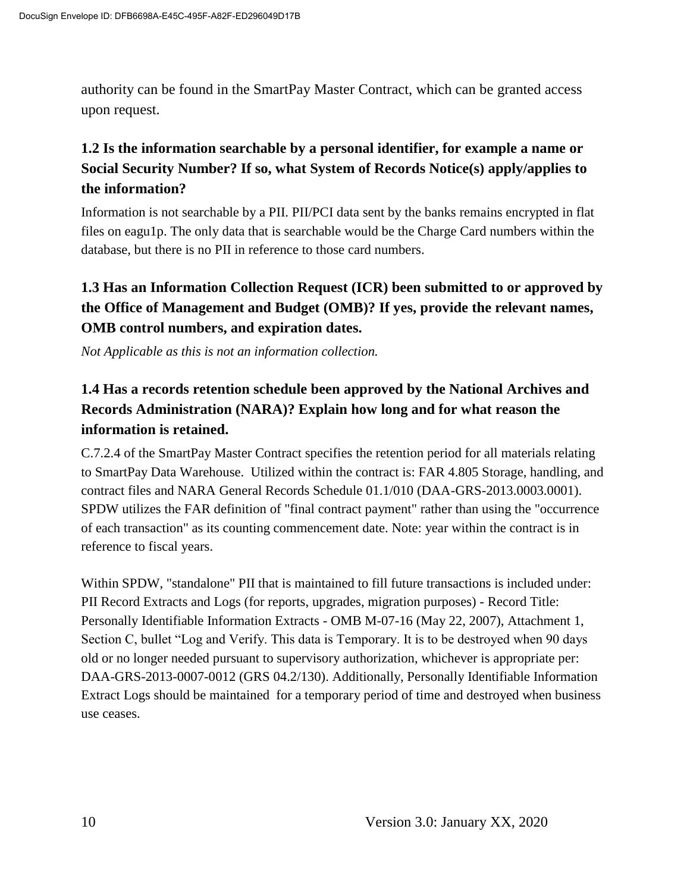authority can be found in the SmartPay Master Contract, which can be granted access upon request.

### **1.2 Is the information searchable by a personal identifier, for example a name or Social Security Number? If so, what System of Records Notice(s) apply/applies to the information?**

Information is not searchable by a PII. PII/PCI data sent by the banks remains encrypted in flat files on eagu1p. The only data that is searchable would be the Charge Card numbers within the database, but there is no PII in reference to those card numbers.

## **1.3 Has an Information Collection Request (ICR) been submitted to or approved by the Office of Management and Budget (OMB)? If yes, provide the relevant names, OMB control numbers, and expiration dates.**

*Not Applicable as this is not an information collection.*

### **1.4 Has a records retention schedule been approved by the National Archives and Records Administration (NARA)? Explain how long and for what reason the information is retained.**

C.7.2.4 of the SmartPay Master Contract specifies the retention period for all materials relating to SmartPay Data Warehouse. Utilized within the contract is: FAR 4.805 Storage, handling, and contract files and NARA General Records Schedule 01.1/010 (DAA-GRS-2013.0003.0001). SPDW utilizes the FAR definition of "final contract payment" rather than using the "occurrence of each transaction" as its counting commencement date. Note: year within the contract is in reference to fiscal years.

Within SPDW, "standalone" PII that is maintained to fill future transactions is included under: PII Record Extracts and Logs (for reports, upgrades, migration purposes) - Record Title: Personally Identifiable Information Extracts - OMB M-07-16 (May 22, 2007), Attachment 1, Section C, bullet "Log and Verify. This data is Temporary. It is to be destroyed when 90 days old or no longer needed pursuant to supervisory authorization, whichever is appropriate per: DAA-GRS-2013-0007-0012 (GRS 04.2/130). Additionally, Personally Identifiable Information Extract Logs should be maintained for a temporary period of time and destroyed when business use ceases.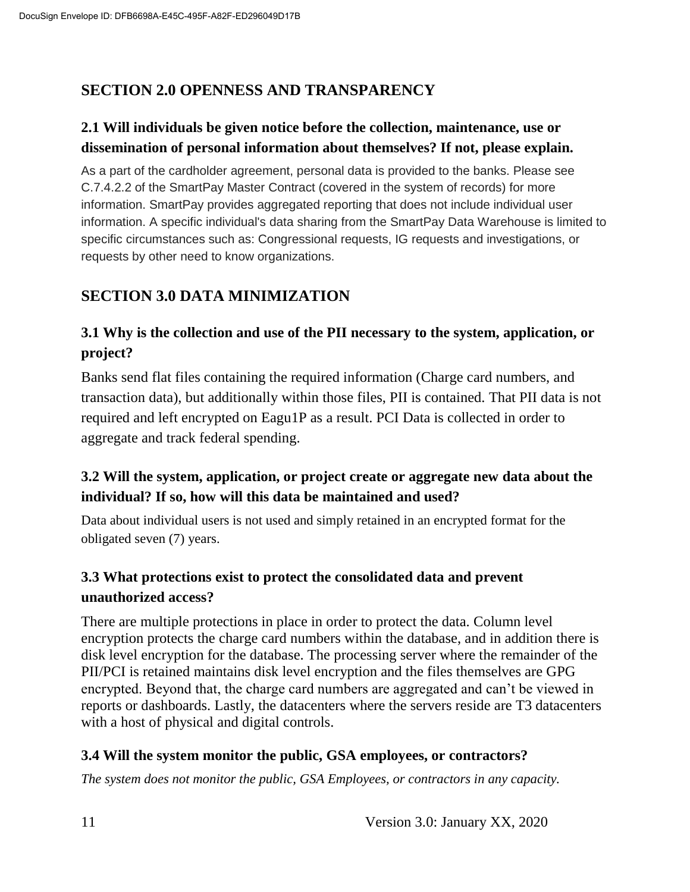## **SECTION 2.0 OPENNESS AND TRANSPARENCY**

#### **2.1 Will individuals be given notice before the collection, maintenance, use or dissemination of personal information about themselves? If not, please explain.**

As a part of the cardholder agreement, personal data is provided to the banks. Please see C.7.4.2.2 of the SmartPay Master Contract (covered in the system of records) for more information. SmartPay provides aggregated reporting that does not include individual user information. A specific individual's data sharing from the SmartPay Data Warehouse is limited to specific circumstances such as: Congressional requests, IG requests and investigations, or requests by other need to know organizations.

## **SECTION 3.0 DATA MINIMIZATION**

#### **3.1 Why is the collection and use of the PII necessary to the system, application, or project?**

Banks send flat files containing the required information (Charge card numbers, and transaction data), but additionally within those files, PII is contained. That PII data is not required and left encrypted on Eagu1P as a result. PCI Data is collected in order to aggregate and track federal spending.

#### **3.2 Will the system, application, or project create or aggregate new data about the individual? If so, how will this data be maintained and used?**

Data about individual users is not used and simply retained in an encrypted format for the obligated seven (7) years.

#### **3.3 What protections exist to protect the consolidated data and prevent unauthorized access?**

There are multiple protections in place in order to protect the data. Column level encryption protects the charge card numbers within the database, and in addition there is disk level encryption for the database. The processing server where the remainder of the PII/PCI is retained maintains disk level encryption and the files themselves are GPG encrypted. Beyond that, the charge card numbers are aggregated and can't be viewed in reports or dashboards. Lastly, the datacenters where the servers reside are T3 datacenters with a host of physical and digital controls.

#### **3.4 Will the system monitor the public, GSA employees, or contractors?**

*The system does not monitor the public, GSA Employees, or contractors in any capacity.*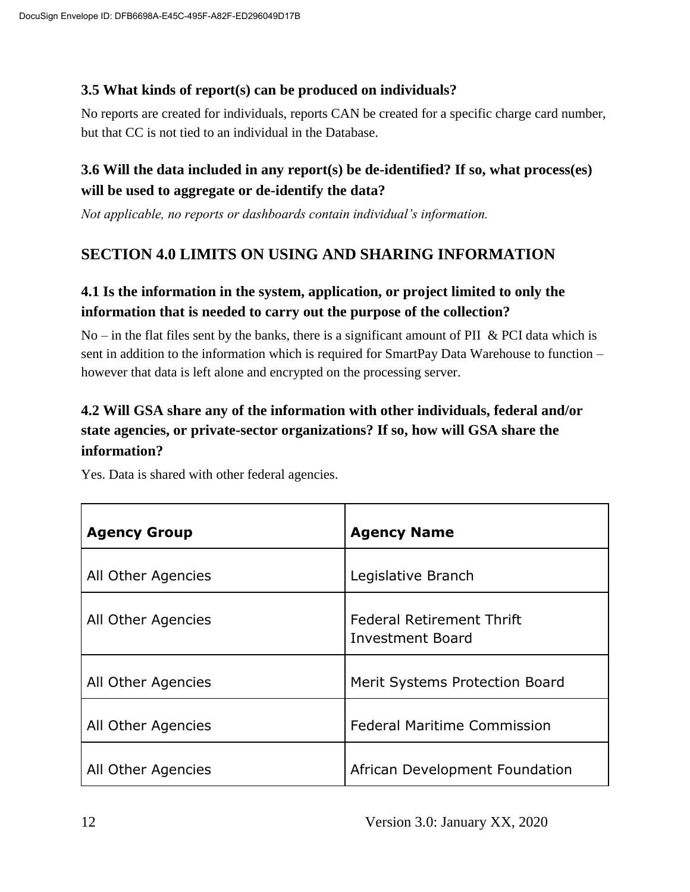#### **3.5 What kinds of report(s) can be produced on individuals?**

No reports are created for individuals, reports CAN be created for a specific charge card number, but that CC is not tied to an individual in the Database.

#### **3.6 Will the data included in any report(s) be de-identified? If so, what process(es) will be used to aggregate or de-identify the data?**

*Not applicable, no reports or dashboards contain individual's information.*

#### **SECTION 4.0 LIMITS ON USING AND SHARING INFORMATION**

#### **4.1 Is the information in the system, application, or project limited to only the information that is needed to carry out the purpose of the collection?**

No – in the flat files sent by the banks, there is a significant amount of PII & PCI data which is sent in addition to the information which is required for SmartPay Data Warehouse to function – however that data is left alone and encrypted on the processing server.

### **4.2 Will GSA share any of the information with other individuals, federal and/or state agencies, or private-sector organizations? If so, how will GSA share the information?**

| <b>Agency Group</b> | <b>Agency Name</b>                                          |
|---------------------|-------------------------------------------------------------|
| All Other Agencies  | Legislative Branch                                          |
| All Other Agencies  | <b>Federal Retirement Thrift</b><br><b>Investment Board</b> |
| All Other Agencies  | Merit Systems Protection Board                              |
| All Other Agencies  | <b>Federal Maritime Commission</b>                          |
| All Other Agencies  | African Development Foundation                              |

Yes. Data is shared with other federal agencies.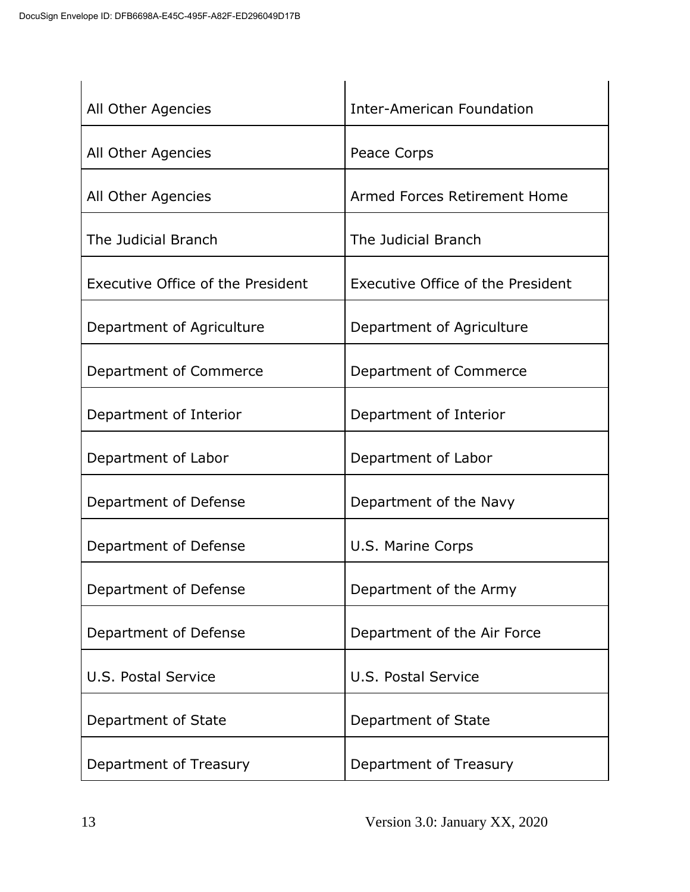| All Other Agencies                | <b>Inter-American Foundation</b>  |
|-----------------------------------|-----------------------------------|
| All Other Agencies                | Peace Corps                       |
| All Other Agencies                | Armed Forces Retirement Home      |
| The Judicial Branch               | The Judicial Branch               |
| Executive Office of the President | Executive Office of the President |
| Department of Agriculture         | Department of Agriculture         |
| Department of Commerce            | Department of Commerce            |
| Department of Interior            | Department of Interior            |
| Department of Labor               | Department of Labor               |
| Department of Defense             | Department of the Navy            |
| Department of Defense             | U.S. Marine Corps                 |
| Department of Defense             | Department of the Army            |
| Department of Defense             | Department of the Air Force       |
| U.S. Postal Service               | U.S. Postal Service               |
| Department of State               | Department of State               |
| Department of Treasury            | Department of Treasury            |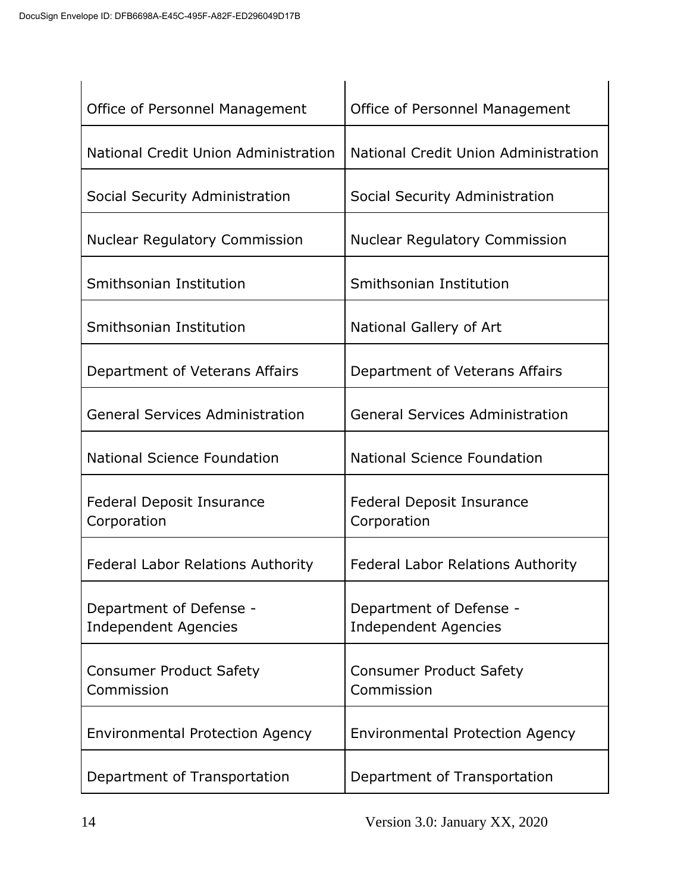| Office of Personnel Management                         | Office of Personnel Management                         |
|--------------------------------------------------------|--------------------------------------------------------|
| National Credit Union Administration                   | National Credit Union Administration                   |
| Social Security Administration                         | Social Security Administration                         |
| <b>Nuclear Regulatory Commission</b>                   | <b>Nuclear Regulatory Commission</b>                   |
| Smithsonian Institution                                | Smithsonian Institution                                |
| Smithsonian Institution                                | National Gallery of Art                                |
| Department of Veterans Affairs                         | Department of Veterans Affairs                         |
| <b>General Services Administration</b>                 | <b>General Services Administration</b>                 |
| <b>National Science Foundation</b>                     | <b>National Science Foundation</b>                     |
| <b>Federal Deposit Insurance</b><br>Corporation        | <b>Federal Deposit Insurance</b><br>Corporation        |
| <b>Federal Labor Relations Authority</b>               | <b>Federal Labor Relations Authority</b>               |
| Department of Defense -<br><b>Independent Agencies</b> | Department of Defense -<br><b>Independent Agencies</b> |
| <b>Consumer Product Safety</b><br>Commission           | <b>Consumer Product Safety</b><br>Commission           |
| <b>Environmental Protection Agency</b>                 | <b>Environmental Protection Agency</b>                 |
| Department of Transportation                           | Department of Transportation                           |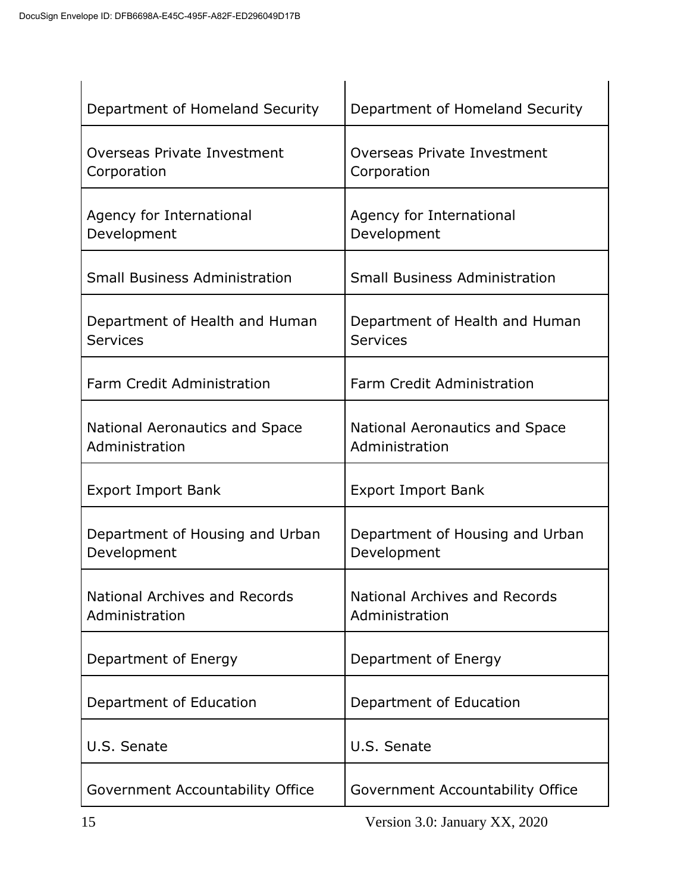| Department of Homeland Security                   | Department of Homeland Security                        |
|---------------------------------------------------|--------------------------------------------------------|
| Overseas Private Investment<br>Corporation        | Overseas Private Investment<br>Corporation             |
| Agency for International<br>Development           | Agency for International<br>Development                |
| <b>Small Business Administration</b>              | <b>Small Business Administration</b>                   |
| Department of Health and Human<br><b>Services</b> | Department of Health and Human<br>Services             |
| Farm Credit Administration                        | Farm Credit Administration                             |
| National Aeronautics and Space<br>Administration  | National Aeronautics and Space<br>Administration       |
| <b>Export Import Bank</b>                         | <b>Export Import Bank</b>                              |
| Department of Housing and Urban<br>Development    | Department of Housing and Urban<br>Development         |
| National Archives and Records<br>Administration   | <b>National Archives and Records</b><br>Administration |
| Department of Energy                              | Department of Energy                                   |
| Department of Education                           | Department of Education                                |
| U.S. Senate                                       | U.S. Senate                                            |
| Government Accountability Office                  | Government Accountability Office                       |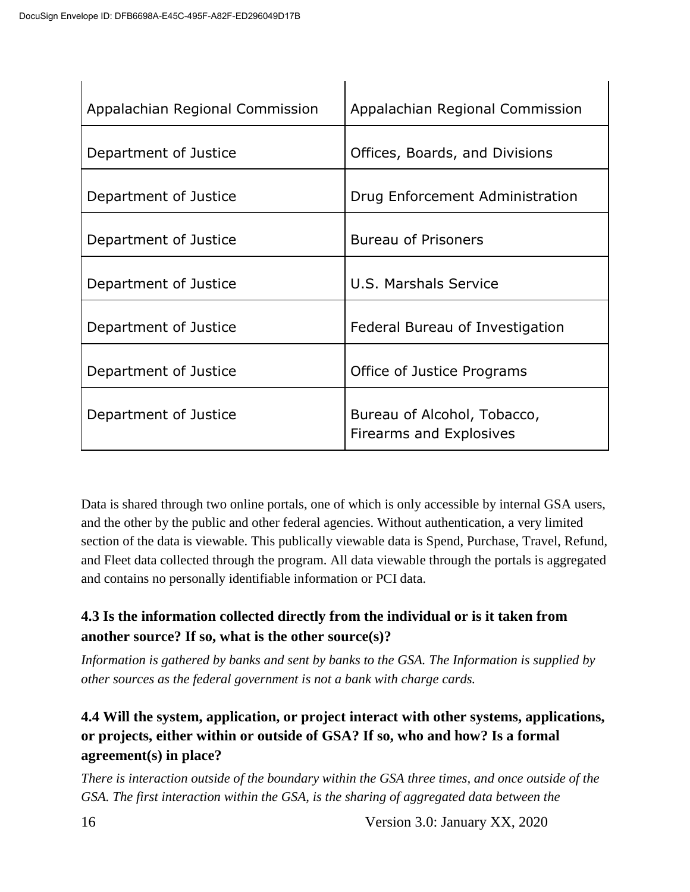| Appalachian Regional Commission | Appalachian Regional Commission                        |
|---------------------------------|--------------------------------------------------------|
| Department of Justice           | Offices, Boards, and Divisions                         |
| Department of Justice           | Drug Enforcement Administration                        |
| Department of Justice           | <b>Bureau of Prisoners</b>                             |
| Department of Justice           | U.S. Marshals Service                                  |
| Department of Justice           | Federal Bureau of Investigation                        |
| Department of Justice           | Office of Justice Programs                             |
| Department of Justice           | Bureau of Alcohol, Tobacco,<br>Firearms and Explosives |

Data is shared through two online portals, one of which is only accessible by internal GSA users, and the other by the public and other federal agencies. Without authentication, a very limited section of the data is viewable. This publically viewable data is Spend, Purchase, Travel, Refund, and Fleet data collected through the program. All data viewable through the portals is aggregated and contains no personally identifiable information or PCI data.

#### **4.3 Is the information collected directly from the individual or is it taken from another source? If so, what is the other source(s)?**

*Information is gathered by banks and sent by banks to the GSA. The Information is supplied by other sources as the federal government is not a bank with charge cards.*

#### **4.4 Will the system, application, or project interact with other systems, applications, or projects, either within or outside of GSA? If so, who and how? Is a formal agreement(s) in place?**

*There is interaction outside of the boundary within the GSA three times, and once outside of the GSA. The first interaction within the GSA, is the sharing of aggregated data between the* 

16 Version 3.0: January XX, 2020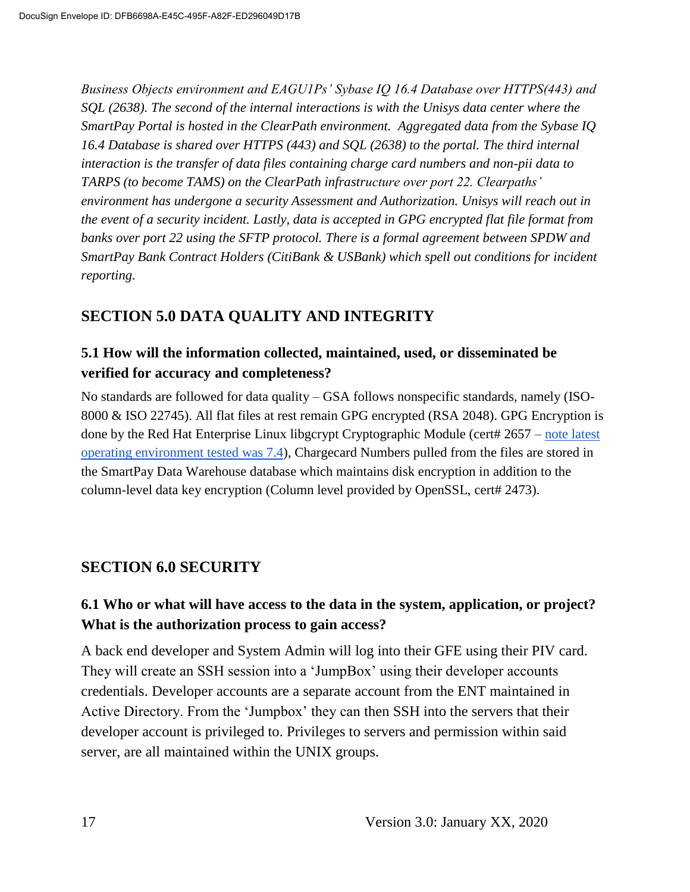*Business Objects environment and EAGU1Ps' Sybase IQ 16.4 Database over HTTPS(443) and SQL (2638). The second of the internal interactions is with the Unisys data center where the SmartPay Portal is hosted in the ClearPath environment. Aggregated data from the Sybase IQ 16.4 Database is shared over HTTPS (443) and SQL (2638) to the portal. The third internal interaction is the transfer of data files containing charge card numbers and non-pii data to TARPS (to become TAMS) on the ClearPath infrastructure over port 22. Clearpaths' environment has undergone a security Assessment and Authorization. Unisys will reach out in the event of a security incident. Lastly, data is accepted in GPG encrypted flat file format from banks over port 22 using the SFTP protocol. There is a formal agreement between SPDW and SmartPay Bank Contract Holders (CitiBank & USBank) which spell out conditions for incident reporting.* 

#### **SECTION 5.0 DATA QUALITY AND INTEGRITY**

#### **5.1 How will the information collected, maintained, used, or disseminated be verified for accuracy and completeness?**

No standards are followed for data quality – GSA follows nonspecific standards, namely (ISO-8000 & ISO 22745). All flat files at rest remain GPG encrypted (RSA 2048). GPG Encryption is done by the Red Hat Enterprise Linux libgcrypt Cryptographic Module (cert# 2657 [–](https://csrc.nist.gov/projects/Cryptographic-Algorithm-Validation-Program/details?product=1757) [note latest](https://csrc.nist.gov/projects/Cryptographic-Algorithm-Validation-Program/details?product=1757)  [operating environment tested was 7.4\)](https://csrc.nist.gov/projects/Cryptographic-Algorithm-Validation-Program/details?product=1757), Chargecard Numbers pulled from the files are stored in the SmartPay Data Warehouse database which maintains disk encryption in addition to the column-level data key encryption (Column level provided by OpenSSL, cert# 2473).

#### **SECTION 6.0 SECURITY**

#### **6.1 Who or what will have access to the data in the system, application, or project? What is the authorization process to gain access?**

A back end developer and System Admin will log into their GFE using their PIV card. They will create an SSH session into a 'JumpBox' using their developer accounts credentials. Developer accounts are a separate account from the ENT maintained in Active Directory. From the 'Jumpbox' they can then SSH into the servers that their developer account is privileged to. Privileges to servers and permission within said server, are all maintained within the UNIX groups.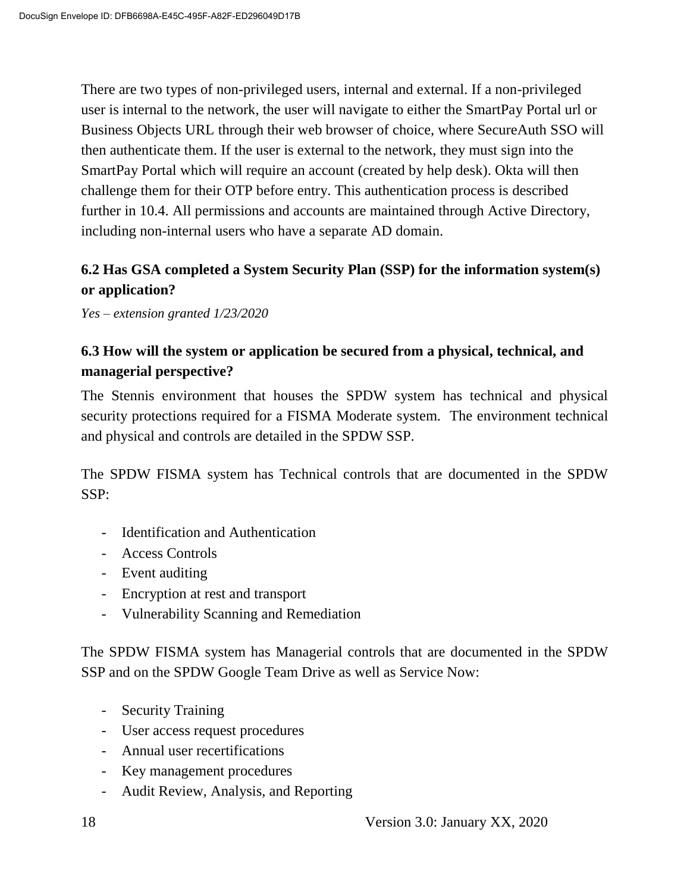There are two types of non-privileged users, internal and external. If a non-privileged user is internal to the network, the user will navigate to either the SmartPay Portal url or Business Objects URL through their web browser of choice, where SecureAuth SSO will then authenticate them. If the user is external to the network, they must sign into the SmartPay Portal which will require an account (created by help desk). Okta will then challenge them for their OTP before entry. This authentication process is described further in 10.4. All permissions and accounts are maintained through Active Directory, including non-internal users who have a separate AD domain.

#### **6.2 Has GSA completed a System Security Plan (SSP) for the information system(s) or application?**

*Yes – extension granted 1/23/2020*

#### **6.3 How will the system or application be secured from a physical, technical, and managerial perspective?**

The Stennis environment that houses the SPDW system has technical and physical security protections required for a FISMA Moderate system. The environment technical and physical and controls are detailed in the SPDW SSP.

The SPDW FISMA system has Technical controls that are documented in the SPDW SSP:

- Identification and Authentication
- Access Controls
- Event auditing
- Encryption at rest and transport
- Vulnerability Scanning and Remediation

The SPDW FISMA system has Managerial controls that are documented in the SPDW SSP and on the SPDW Google Team Drive as well as Service Now:

- Security Training
- User access request procedures
- Annual user recertifications
- Key management procedures
- Audit Review, Analysis, and Reporting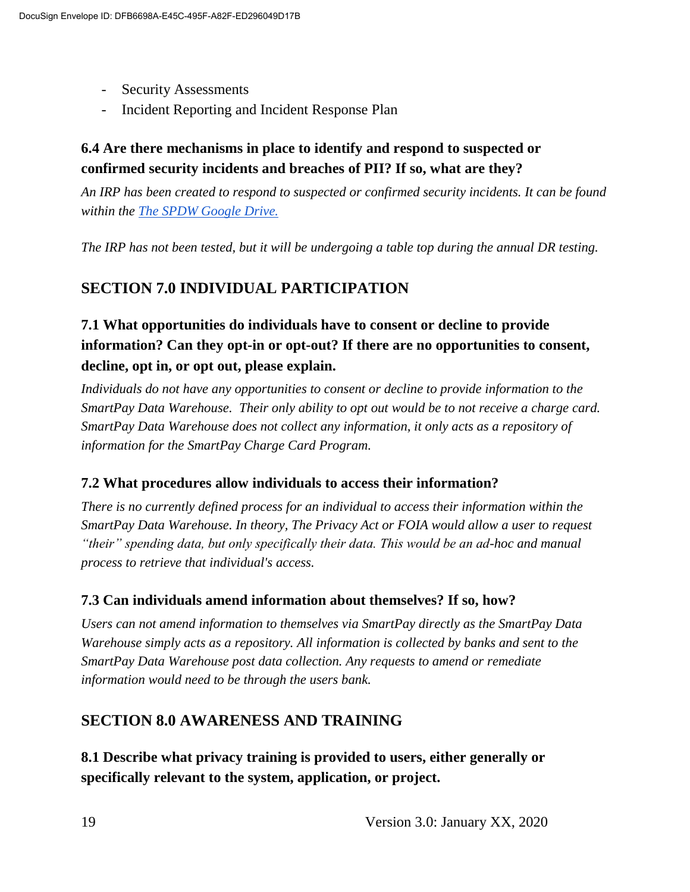- Security Assessments
- Incident Reporting and Incident Response Plan

#### **6.4 Are there mechanisms in place to identify and respond to suspected or confirmed security incidents and breaches of PII? If so, what are they?**

*An IRP has been created to respond to suspected or confirmed security incidents. It can be found within the The [SPDW Google Drive.](https://drive.google.com/drive/folders/1zfPZzvFCr8wE--FMFwl2f8sBur9cCqwv)*

*The IRP has not been tested, but it will be undergoing a table top during the annual DR testing.*

## **SECTION 7.0 INDIVIDUAL PARTICIPATION**

### **7.1 What opportunities do individuals have to consent or decline to provide information? Can they opt-in or opt-out? If there are no opportunities to consent, decline, opt in, or opt out, please explain.**

*Individuals do not have any opportunities to consent or decline to provide information to the SmartPay Data Warehouse. Their only ability to opt out would be to not receive a charge card. SmartPay Data Warehouse does not collect any information, it only acts as a repository of information for the SmartPay Charge Card Program.*

#### **7.2 What procedures allow individuals to access their information?**

*There is no currently defined process for an individual to access their information within the SmartPay Data Warehouse. In theory, The Privacy Act or FOIA would allow a user to request "their" spending data, but only specifically their data. This would be an ad-hoc and manual process to retrieve that individual's access.*

#### **7.3 Can individuals amend information about themselves? If so, how?**

*Users can not amend information to themselves via SmartPay directly as the SmartPay Data Warehouse simply acts as a repository. All information is collected by banks and sent to the SmartPay Data Warehouse post data collection. Any requests to amend or remediate information would need to be through the users bank.*

#### **SECTION 8.0 AWARENESS AND TRAINING**

**8.1 Describe what privacy training is provided to users, either generally or specifically relevant to the system, application, or project.**